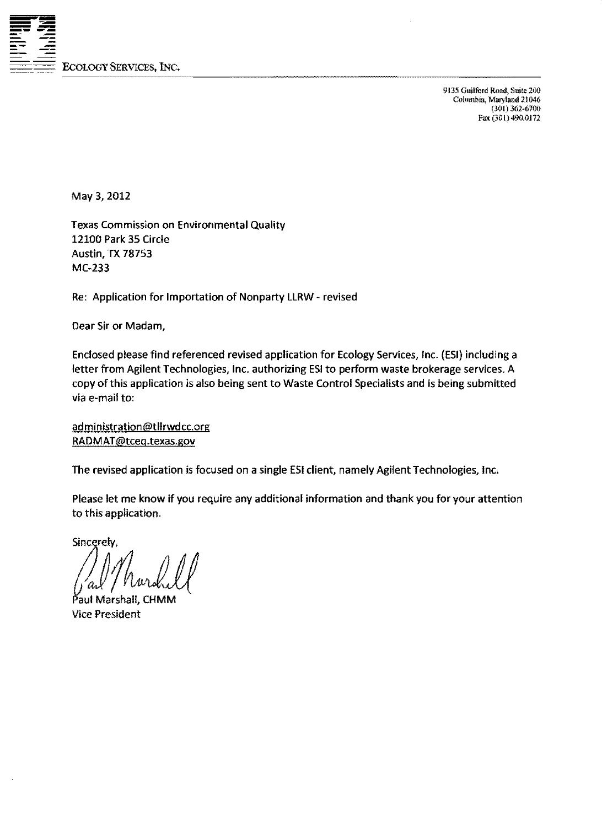9135 Guilford Road, Suite 200 Columbia, Maryland 21046 (301)362-6700 Fax (301) 49O.Q172

May 3, 2012

Texas Commission on Environmental Quality 12100 Park 35 Circle Austin, TX 78753 MC-233

Re: Application for Importation of Nonparty LLRW - revised

Dear Sir or Madam,

Enclosed please find referenced revised application for Ecology Services, Inc. (ESJ) including a letter from Agilent Technologies, Inc. authorizing ESI to perform waste brokerage services. A copy of this application is also being sent to Waste Control Specialists and is being submitted via e-mail to:

administration@tllrwdcc.org RADMAT@tceq.texas.gov

The revised application is focused on a single ESI client, namely Agilent Technologies, Inc.

Please let me know if you require any additional information and thank you for your attention to this application.

Sincerely,

**Vice President** Marshall, CHMM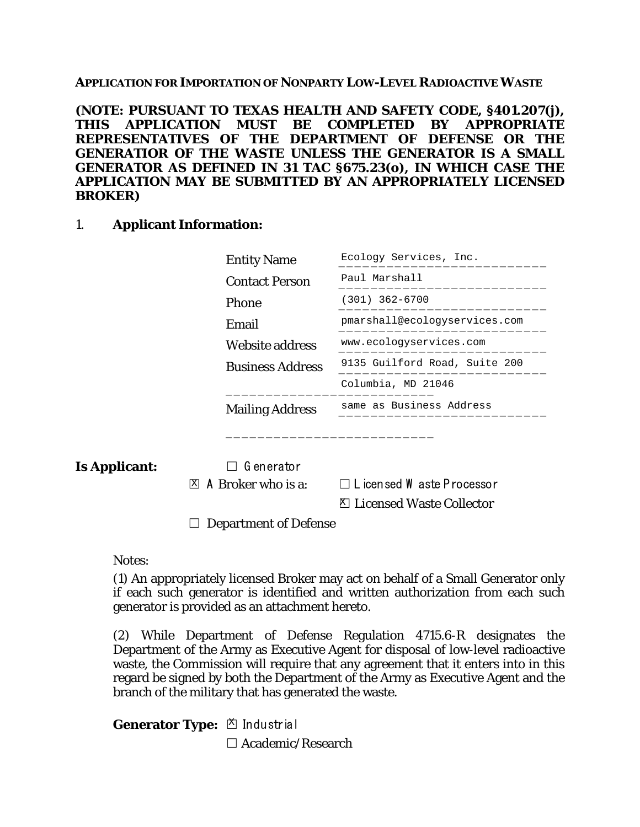### **APPLICATION FOR IMPORTATION OF NONPARTY LOW-LEVEL RADIOACTIVE WASTE**

**(NOTE: PURSUANT TO TEXAS HEALTH AND SAFETY CODE, §401.207(j), THIS APPLICATION MUST BE COMPLETED BY APPROPRIATE REPRESENTATIVES OF THE DEPARTMENT OF DEFENSE OR THE GENERATIOR OF THE WASTE UNLESS THE GENERATOR IS A SMALL GENERATOR AS DEFINED IN 31 TAC §675.23(o), IN WHICH CASE THE APPLICATION MAY BE SUBMITTED BY AN APPROPRIATELY LICENSED BROKER)**

## 1. **Applicant Information:**

| <b>Entity Name</b>      | Ecology Services, Inc.        |
|-------------------------|-------------------------------|
| <b>Contact Person</b>   | Paul Marshall                 |
| Phone                   | $(301)$ 362-6700              |
| Email                   | pmarshall@ecologyservices.com |
| Website address         | www.ecologyservices.com       |
| <b>Business Address</b> | 9135 Guilford Road, Suite 200 |
|                         | Columbia, MD 21046            |
| <b>Mailing Address</b>  | same as Business Address      |

**Is Applicant:** □ G enerator

| $\mathbb{Z}$ A Broker who is a: | $\Box$ L icensed W aste P rocessor |  |  |
|---------------------------------|------------------------------------|--|--|
|                                 |                                    |  |  |

\_\_\_\_\_\_\_\_\_\_\_\_\_\_\_\_\_\_\_\_\_\_\_\_\_\_

☐ Licensed Waste Collector X

 $\Box$  Department of Defense

Notes:

(1) An appropriately licensed Broker may act on behalf of a Small Generator only if each such generator is identified and written authorization from each such generator is provided as an attachment hereto.

(2) While Department of Defense Regulation 4715.6-R designates the Department of the Army as Executive Agent for disposal of low-level radioactive waste, the Commission will require that any agreement that it enters into in this regard be signed by both the Department of the Army as Executive Agent and the branch of the military that has generated the waste.

Generator Type: **E** Industrial

☐ Academic/Research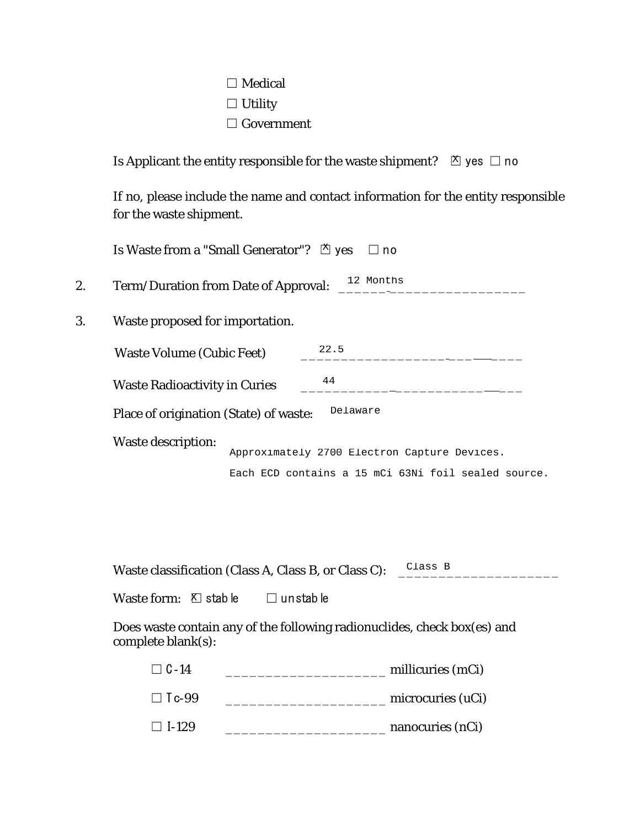| $\Box$ Medical    |
|-------------------|
| $\Box$ Utility    |
| $\Box$ Government |

Is Applicant the entity responsible for the waste shipment?  $\Box$  yes  $\Box$  no

If no, please include the name and contact information for the entity responsible for the waste shipment.

|    | Is Waste from a "Small Generator"? $\mathbb{\tilde{Z}}$ yes<br>n <sub>o</sub>                                                    |
|----|----------------------------------------------------------------------------------------------------------------------------------|
| 2. | 12 Months<br>Term/Duration from Date of Approval:                                                                                |
| 3. | Waste proposed for importation.                                                                                                  |
|    | 22.5<br><b>Waste Volume (Cubic Feet)</b>                                                                                         |
|    | 44<br><b>Waste Radioactivity in Curies</b>                                                                                       |
|    | Delaware<br>Place of origination (State) of waste:                                                                               |
|    | <b>Waste description:</b><br>Approximately 2700 Electron Capture Devices.<br>Each ECD contains a 15 mCi 63Ni foil sealed source. |
|    | Class B<br>Waste classification (Class A, Class B, or Class C):<br>unstable<br>Waste form: $\mathbb{E}$ stable                   |

Does waste contain any of the following radionuclides, check box(es) and complete blank(s):

| $\Box$ C-14  | millicuries (mCi) |
|--------------|-------------------|
| $\Box$ Tc-99 | microcuries (uCi) |
| $\Box$ I-129 | nanocuries (nCi)  |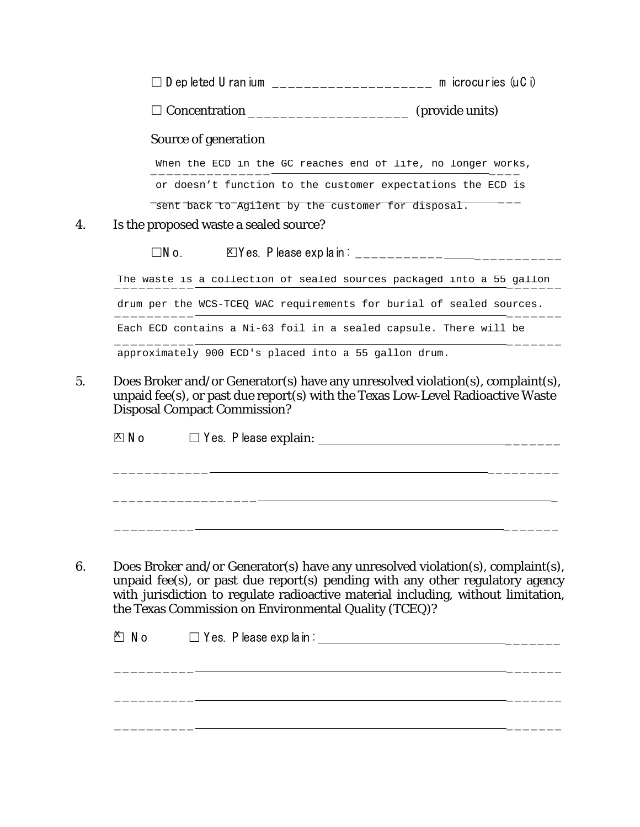| $\Box$ D ep leted U ran ium | m $icrocuries (uCi)$ |  |
|-----------------------------|----------------------|--|
|-----------------------------|----------------------|--|

 $\Box$  Concentration \_\_\_\_\_\_\_\_\_\_\_\_\_\_\_\_\_\_\_\_\_\_\_\_\_\_\_\_\_\_\_\_\_ (provide units)

# Source of generation

When the ECD in the GC reaches end of life, no longer works, or doesn't function to the customer expectations the ECD is

sent back to Agilent by the customer for disposal.

### $\overline{4}$ . Is the proposed waste a sealed source?

 $\Box N$  o.

The waste is a collection of sealed sources packaged into a 55 gallon

drum per the WCS-TCEQ WAC requirements for burial of sealed sources.

Each ECD contains a Ni-63 foil in a sealed capsule. There will be

approximately 900 ECD's placed into a 55 gallon drum.

 $5<sub>1</sub>$ Does Broker and/or Generator(s) have any unresolved violation(s), complaint(s), unpaid fee(s), or past due report(s) with the Texas Low-Level Radioactive Waste **Disposal Compact Commission?** 

 $X \cup N$ 

| 6. | Does Broker and/or Generator(s) have any unresolved violation(s), complaint(s),   |
|----|-----------------------------------------------------------------------------------|
|    | unpaid fee(s), or past due report(s) pending with any other regulatory agency     |
|    | with jurisdiction to regulate radioactive material including, without limitation, |
|    | the Texas Commission on Environmental Quality (TCEQ)?                             |

| ⊠ No | $\Box$ Yes. P lease exp la in: |  |
|------|--------------------------------|--|
|      |                                |  |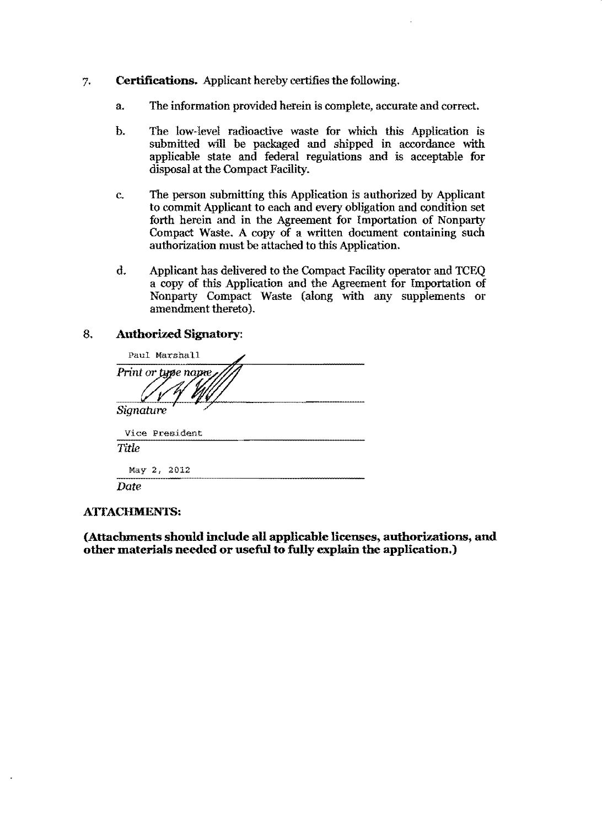### 7. **Certifications.** Applicant hereby certifies the following.

- a. The information provided herein is complete, accurate and correct.
- b. The low~level radioactive waste for which this Application is submitted will be packaged and shipped in accordance with applicable state and federal regulations and is acceptable for disposal at the Compact Facility.
- c. The person submitting this Application is authorized by Applicant to commit Applicant to each and every obligation and condition set forth herein and in the Agreement for Importation of Nonparty Compact Waste. A copy of a written document containing such authorization must be attached to this Application.
- d. Applicant has delivered to the Compact Facility operator and TCEQ a copy of this Application and the Agreement for Importation of Nonparty Compact Waste (along with any supplements or amendment thereto).

### 8. **Authorized Signatory:**

|           | Paul Marshall       |
|-----------|---------------------|
|           | Print or type name, |
|           |                     |
| Signature |                     |
|           | Vice President      |
| Title     |                     |
|           | May 2, 2012         |
| Date      |                     |
|           |                     |

### **ATIACHMENTS:**

**(Attacluuents shonld include all applicable licenses, authorizations, and other materials needed or useful to fully explain the application.)**